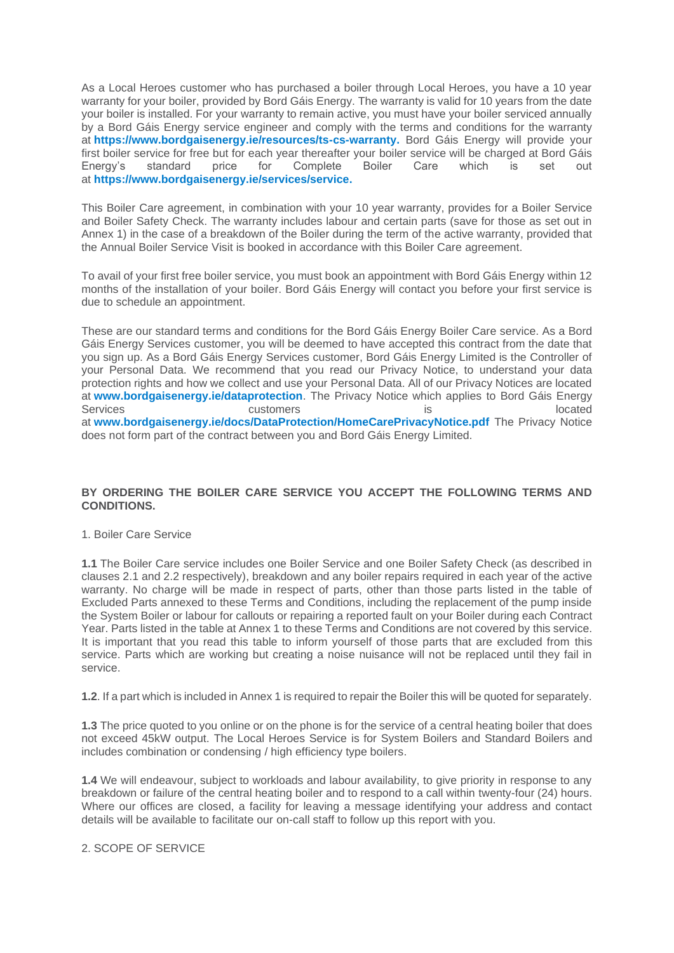As a Local Heroes customer who has purchased a boiler through Local Heroes, you have a 10 year warranty for your boiler, provided by Bord Gáis Energy. The warranty is valid for 10 years from the date your boiler is installed. For your warranty to remain active, you must have your boiler serviced annually by a Bord Gáis Energy service engineer and comply with the terms and conditions for the warranty at **[https://www.bordgaisenergy.ie/resources/ts-cs-warranty.](https://www.bordgaisenergy.ie/resources/ts-cs-warranty)** Bord Gáis Energy will provide your first boiler service for free but for each year thereafter your boiler service will be charged at Bord Gáis Energy's standard price for Complete Boiler Care which is set out at **[https://www.bordgaisenergy.ie/services/service.](https://www.bordgaisenergy.ie/services/service)**

This Boiler Care agreement, in combination with your 10 year warranty, provides for a Boiler Service and Boiler Safety Check. The warranty includes labour and certain parts (save for those as set out in Annex 1) in the case of a breakdown of the Boiler during the term of the active warranty, provided that the Annual Boiler Service Visit is booked in accordance with this Boiler Care agreement.

To avail of your first free boiler service, you must book an appointment with Bord Gáis Energy within 12 months of the installation of your boiler. Bord Gáis Energy will contact you before your first service is due to schedule an appointment.

These are our standard terms and conditions for the Bord Gáis Energy Boiler Care service. As a Bord Gáis Energy Services customer, you will be deemed to have accepted this contract from the date that you sign up. As a Bord Gáis Energy Services customer, Bord Gáis Energy Limited is the Controller of your Personal Data. We recommend that you read our Privacy Notice, to understand your data protection rights and how we collect and use your Personal Data. All of our Privacy Notices are located at **[www.bordgaisenergy.ie/dataprotection](https://www.bordgaisenergy.ie/resources/data-protection)**. The Privacy Notice which applies to Bord Gáis Energy Services and the customers of the services of the customers of the services of the customers of the customers of the customers of the customers of the customers of the customers of the customers of the customers of the cus at **[www.bordgaisenergy.ie/docs/DataProtection/HomeCarePrivacyNotice.pdf](https://assets-us-01.kc-usercontent.com/7dd6b71d-d672-0004-6a4d-7043e1d0db33/74539b39-3c80-4408-b844-d341ffd5513e/Home%20Care%20Privacy%20Notice.pdf)** The Privacy Notice does not form part of the contract between you and Bord Gáis Energy Limited.

# **BY ORDERING THE BOILER CARE SERVICE YOU ACCEPT THE FOLLOWING TERMS AND CONDITIONS.**

## 1. Boiler Care Service

**1.1** The Boiler Care service includes one Boiler Service and one Boiler Safety Check (as described in clauses 2.1 and 2.2 respectively), breakdown and any boiler repairs required in each year of the active warranty. No charge will be made in respect of parts, other than those parts listed in the table of Excluded Parts annexed to these Terms and Conditions, including the replacement of the pump inside the System Boiler or labour for callouts or repairing a reported fault on your Boiler during each Contract Year. Parts listed in the table at Annex 1 to these Terms and Conditions are not covered by this service. It is important that you read this table to inform yourself of those parts that are excluded from this service. Parts which are working but creating a noise nuisance will not be replaced until they fail in service.

**1.2**. If a part which is included in Annex 1 is required to repair the Boiler this will be quoted for separately.

**1.3** The price quoted to you online or on the phone is for the service of a central heating boiler that does not exceed 45kW output. The Local Heroes Service is for System Boilers and Standard Boilers and includes combination or condensing / high efficiency type boilers.

**1.4** We will endeavour, subject to workloads and labour availability, to give priority in response to any breakdown or failure of the central heating boiler and to respond to a call within twenty-four (24) hours. Where our offices are closed, a facility for leaving a message identifying your address and contact details will be available to facilitate our on-call staff to follow up this report with you.

2. SCOPE OF SERVICE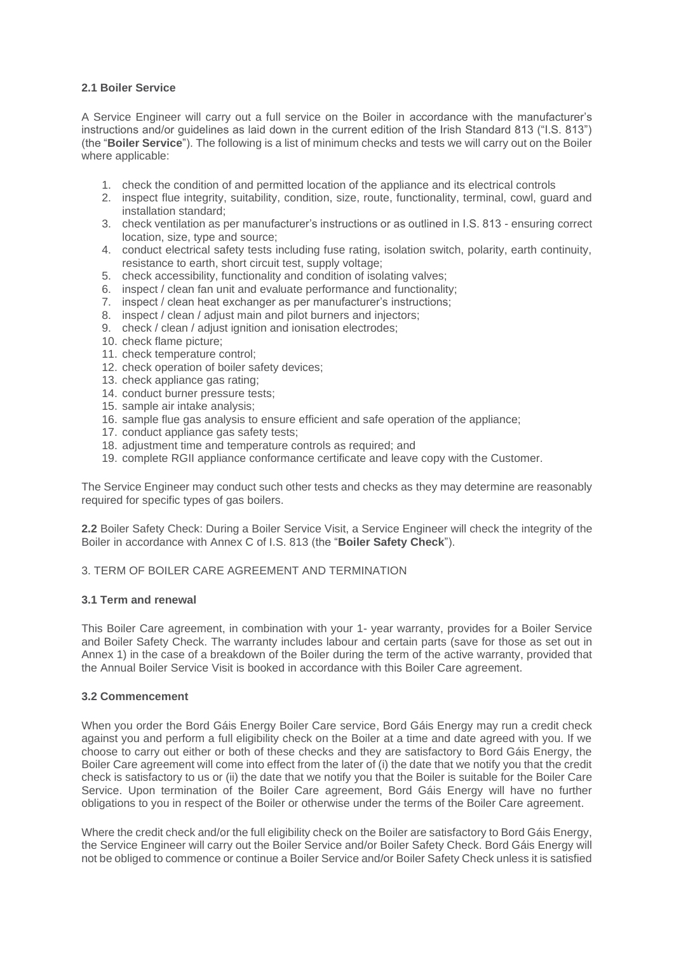## **2.1 Boiler Service**

A Service Engineer will carry out a full service on the Boiler in accordance with the manufacturer's instructions and/or guidelines as laid down in the current edition of the Irish Standard 813 ("I.S. 813") (the "**Boiler Service**"). The following is a list of minimum checks and tests we will carry out on the Boiler where applicable:

- 1. check the condition of and permitted location of the appliance and its electrical controls
- 2. inspect flue integrity, suitability, condition, size, route, functionality, terminal, cowl, guard and installation standard;
- 3. check ventilation as per manufacturer's instructions or as outlined in I.S. 813 ensuring correct location, size, type and source;
- 4. conduct electrical safety tests including fuse rating, isolation switch, polarity, earth continuity, resistance to earth, short circuit test, supply voltage;
- 5. check accessibility, functionality and condition of isolating valves;
- 6. inspect / clean fan unit and evaluate performance and functionality;
- 7. inspect / clean heat exchanger as per manufacturer's instructions;
- 8. inspect / clean / adjust main and pilot burners and injectors;
- 9. check / clean / adjust ignition and ionisation electrodes;
- 10. check flame picture;
- 11. check temperature control;
- 12. check operation of boiler safety devices;
- 13. check appliance gas rating;
- 14. conduct burner pressure tests;
- 15. sample air intake analysis;
- 16. sample flue gas analysis to ensure efficient and safe operation of the appliance;
- 17. conduct appliance gas safety tests;
- 18. adjustment time and temperature controls as required; and
- 19. complete RGII appliance conformance certificate and leave copy with the Customer.

The Service Engineer may conduct such other tests and checks as they may determine are reasonably required for specific types of gas boilers.

**2.2** Boiler Safety Check: During a Boiler Service Visit, a Service Engineer will check the integrity of the Boiler in accordance with Annex C of I.S. 813 (the "**Boiler Safety Check**").

### 3. TERM OF BOILER CARE AGREEMENT AND TERMINATION

### **3.1 Term and renewal**

This Boiler Care agreement, in combination with your 1- year warranty, provides for a Boiler Service and Boiler Safety Check. The warranty includes labour and certain parts (save for those as set out in Annex 1) in the case of a breakdown of the Boiler during the term of the active warranty, provided that the Annual Boiler Service Visit is booked in accordance with this Boiler Care agreement.

### **3.2 Commencement**

When you order the Bord Gáis Energy Boiler Care service, Bord Gáis Energy may run a credit check against you and perform a full eligibility check on the Boiler at a time and date agreed with you. If we choose to carry out either or both of these checks and they are satisfactory to Bord Gáis Energy, the Boiler Care agreement will come into effect from the later of (i) the date that we notify you that the credit check is satisfactory to us or (ii) the date that we notify you that the Boiler is suitable for the Boiler Care Service. Upon termination of the Boiler Care agreement, Bord Gáis Energy will have no further obligations to you in respect of the Boiler or otherwise under the terms of the Boiler Care agreement.

Where the credit check and/or the full eligibility check on the Boiler are satisfactory to Bord Gáis Energy, the Service Engineer will carry out the Boiler Service and/or Boiler Safety Check. Bord Gáis Energy will not be obliged to commence or continue a Boiler Service and/or Boiler Safety Check unless it is satisfied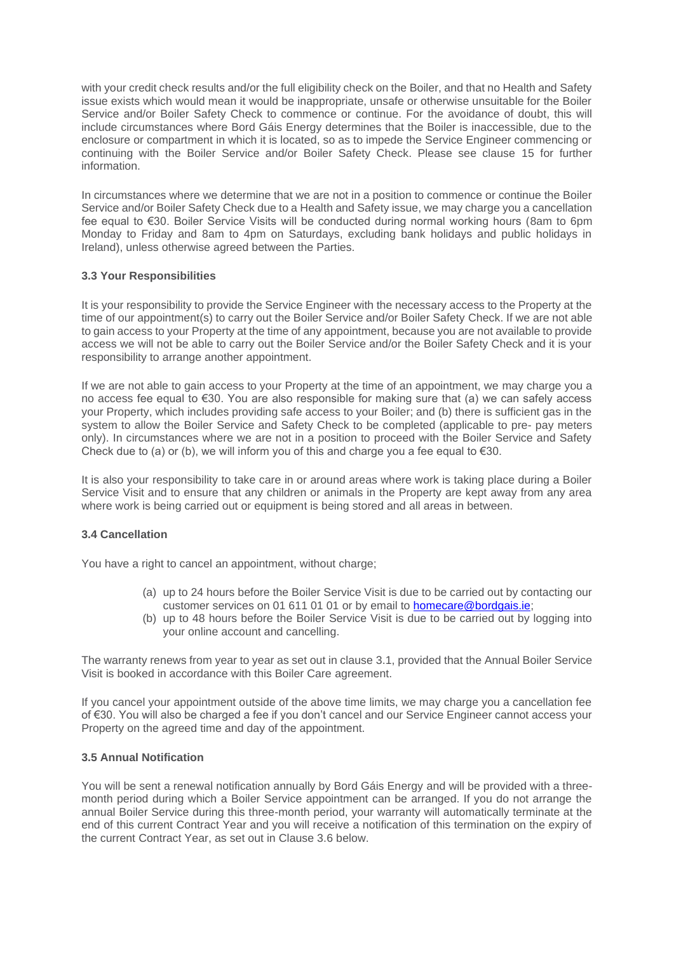with your credit check results and/or the full eligibility check on the Boiler, and that no Health and Safety issue exists which would mean it would be inappropriate, unsafe or otherwise unsuitable for the Boiler Service and/or Boiler Safety Check to commence or continue. For the avoidance of doubt, this will include circumstances where Bord Gáis Energy determines that the Boiler is inaccessible, due to the enclosure or compartment in which it is located, so as to impede the Service Engineer commencing or continuing with the Boiler Service and/or Boiler Safety Check. Please see clause 15 for further information.

In circumstances where we determine that we are not in a position to commence or continue the Boiler Service and/or Boiler Safety Check due to a Health and Safety issue, we may charge you a cancellation fee equal to €30. Boiler Service Visits will be conducted during normal working hours (8am to 6pm Monday to Friday and 8am to 4pm on Saturdays, excluding bank holidays and public holidays in Ireland), unless otherwise agreed between the Parties.

# **3.3 Your Responsibilities**

It is your responsibility to provide the Service Engineer with the necessary access to the Property at the time of our appointment(s) to carry out the Boiler Service and/or Boiler Safety Check. If we are not able to gain access to your Property at the time of any appointment, because you are not available to provide access we will not be able to carry out the Boiler Service and/or the Boiler Safety Check and it is your responsibility to arrange another appointment.

If we are not able to gain access to your Property at the time of an appointment, we may charge you a no access fee equal to €30. You are also responsible for making sure that (a) we can safely access your Property, which includes providing safe access to your Boiler; and (b) there is sufficient gas in the system to allow the Boiler Service and Safety Check to be completed (applicable to pre- pay meters only). In circumstances where we are not in a position to proceed with the Boiler Service and Safety Check due to (a) or (b), we will inform you of this and charge you a fee equal to  $\epsilon$ 30.

It is also your responsibility to take care in or around areas where work is taking place during a Boiler Service Visit and to ensure that any children or animals in the Property are kept away from any area where work is being carried out or equipment is being stored and all areas in between.

# **3.4 Cancellation**

You have a right to cancel an appointment, without charge;

- (a) up to 24 hours before the Boiler Service Visit is due to be carried out by contacting our customer services on 01 611 01 01 or by email to [homecare@bordgais.ie;](mailto:homecare@bordgais.ie)
- (b) up to 48 hours before the Boiler Service Visit is due to be carried out by logging into your online account and cancelling.

The warranty renews from year to year as set out in clause 3.1, provided that the Annual Boiler Service Visit is booked in accordance with this Boiler Care agreement.

If you cancel your appointment outside of the above time limits, we may charge you a cancellation fee of €30. You will also be charged a fee if you don't cancel and our Service Engineer cannot access your Property on the agreed time and day of the appointment.

### **3.5 Annual Notification**

You will be sent a renewal notification annually by Bord Gáis Energy and will be provided with a threemonth period during which a Boiler Service appointment can be arranged. If you do not arrange the annual Boiler Service during this three-month period, your warranty will automatically terminate at the end of this current Contract Year and you will receive a notification of this termination on the expiry of the current Contract Year, as set out in Clause 3.6 below.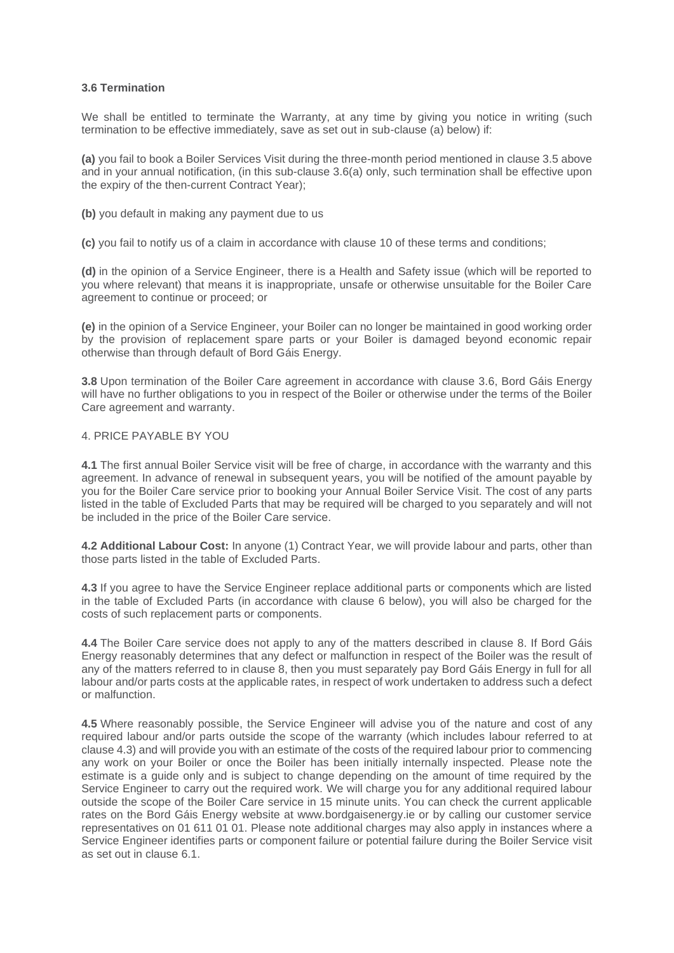### **3.6 Termination**

We shall be entitled to terminate the Warranty, at any time by giving you notice in writing (such termination to be effective immediately, save as set out in sub-clause (a) below) if:

**(a)** you fail to book a Boiler Services Visit during the three-month period mentioned in clause 3.5 above and in your annual notification, (in this sub-clause 3.6(a) only, such termination shall be effective upon the expiry of the then-current Contract Year);

**(b)** you default in making any payment due to us

**(c)** you fail to notify us of a claim in accordance with clause 10 of these terms and conditions;

**(d)** in the opinion of a Service Engineer, there is a Health and Safety issue (which will be reported to you where relevant) that means it is inappropriate, unsafe or otherwise unsuitable for the Boiler Care agreement to continue or proceed; or

**(e)** in the opinion of a Service Engineer, your Boiler can no longer be maintained in good working order by the provision of replacement spare parts or your Boiler is damaged beyond economic repair otherwise than through default of Bord Gáis Energy.

**3.8** Upon termination of the Boiler Care agreement in accordance with clause 3.6, Bord Gáis Energy will have no further obligations to you in respect of the Boiler or otherwise under the terms of the Boiler Care agreement and warranty.

## 4. PRICE PAYABLE BY YOU

**4.1** The first annual Boiler Service visit will be free of charge, in accordance with the warranty and this agreement. In advance of renewal in subsequent years, you will be notified of the amount payable by you for the Boiler Care service prior to booking your Annual Boiler Service Visit. The cost of any parts listed in the table of Excluded Parts that may be required will be charged to you separately and will not be included in the price of the Boiler Care service.

**4.2 Additional Labour Cost:** In anyone (1) Contract Year, we will provide labour and parts, other than those parts listed in the table of Excluded Parts.

**4.3** If you agree to have the Service Engineer replace additional parts or components which are listed in the table of Excluded Parts (in accordance with clause 6 below), you will also be charged for the costs of such replacement parts or components.

**4.4** The Boiler Care service does not apply to any of the matters described in clause 8. If Bord Gáis Energy reasonably determines that any defect or malfunction in respect of the Boiler was the result of any of the matters referred to in clause 8, then you must separately pay Bord Gáis Energy in full for all labour and/or parts costs at the applicable rates, in respect of work undertaken to address such a defect or malfunction.

**4.5** Where reasonably possible, the Service Engineer will advise you of the nature and cost of any required labour and/or parts outside the scope of the warranty (which includes labour referred to at clause 4.3) and will provide you with an estimate of the costs of the required labour prior to commencing any work on your Boiler or once the Boiler has been initially internally inspected. Please note the estimate is a guide only and is subject to change depending on the amount of time required by the Service Engineer to carry out the required work. We will charge you for any additional required labour outside the scope of the Boiler Care service in 15 minute units. You can check the current applicable rates on the Bord Gáis Energy website at www.bordgaisenergy.ie or by calling our customer service representatives on 01 611 01 01. Please note additional charges may also apply in instances where a Service Engineer identifies parts or component failure or potential failure during the Boiler Service visit as set out in clause 6.1.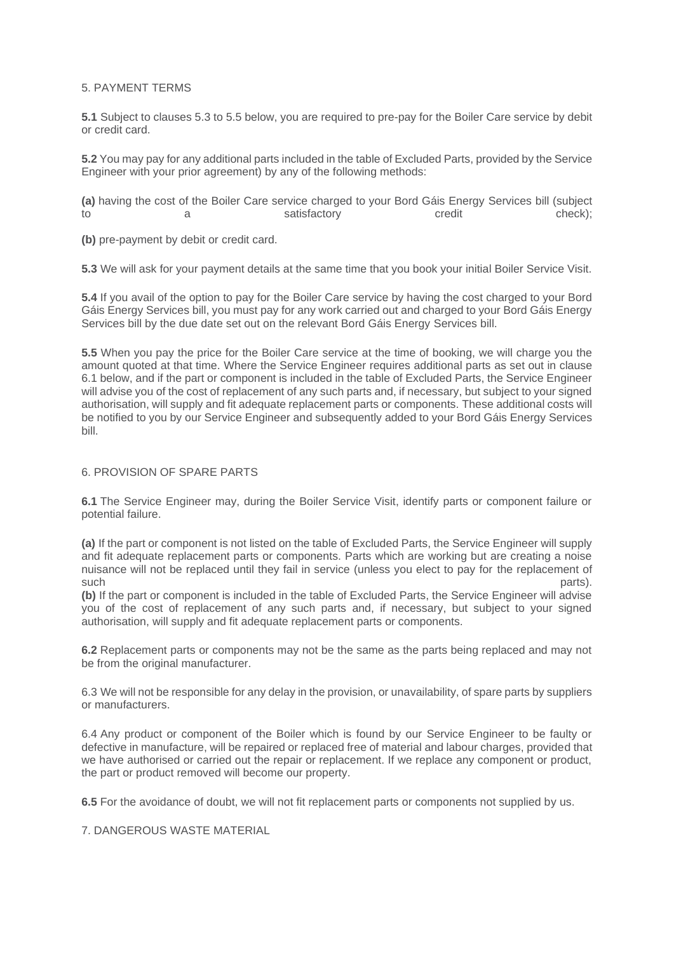## 5. PAYMENT TERMS

**5.1** Subject to clauses 5.3 to 5.5 below, you are required to pre-pay for the Boiler Care service by debit or credit card.

**5.2** You may pay for any additional parts included in the table of Excluded Parts, provided by the Service Engineer with your prior agreement) by any of the following methods:

**(a)** having the cost of the Boiler Care service charged to your Bord Gáis Energy Services bill (subject to a satisfactory credit check);

**(b)** pre-payment by debit or credit card.

**5.3** We will ask for your payment details at the same time that you book your initial Boiler Service Visit.

**5.4** If you avail of the option to pay for the Boiler Care service by having the cost charged to your Bord Gáis Energy Services bill, you must pay for any work carried out and charged to your Bord Gáis Energy Services bill by the due date set out on the relevant Bord Gáis Energy Services bill.

**5.5** When you pay the price for the Boiler Care service at the time of booking, we will charge you the amount quoted at that time. Where the Service Engineer requires additional parts as set out in clause 6.1 below, and if the part or component is included in the table of Excluded Parts, the Service Engineer will advise you of the cost of replacement of any such parts and, if necessary, but subject to your signed authorisation, will supply and fit adequate replacement parts or components. These additional costs will be notified to you by our Service Engineer and subsequently added to your Bord Gáis Energy Services bill.

### 6. PROVISION OF SPARE PARTS

**6.1** The Service Engineer may, during the Boiler Service Visit, identify parts or component failure or potential failure.

**(a)** If the part or component is not listed on the table of Excluded Parts, the Service Engineer will supply and fit adequate replacement parts or components. Parts which are working but are creating a noise nuisance will not be replaced until they fail in service (unless you elect to pay for the replacement of such parts). The contract of the contract of the contract of the contract of the contract of the contract of the contract of the contract of the contract of the contract of the contract of the contract of the contract of t

**(b)** If the part or component is included in the table of Excluded Parts, the Service Engineer will advise you of the cost of replacement of any such parts and, if necessary, but subject to your signed authorisation, will supply and fit adequate replacement parts or components.

**6.2** Replacement parts or components may not be the same as the parts being replaced and may not be from the original manufacturer.

6.3 We will not be responsible for any delay in the provision, or unavailability, of spare parts by suppliers or manufacturers.

6.4 Any product or component of the Boiler which is found by our Service Engineer to be faulty or defective in manufacture, will be repaired or replaced free of material and labour charges, provided that we have authorised or carried out the repair or replacement. If we replace any component or product, the part or product removed will become our property.

**6.5** For the avoidance of doubt, we will not fit replacement parts or components not supplied by us.

7. DANGEROUS WASTE MATERIAL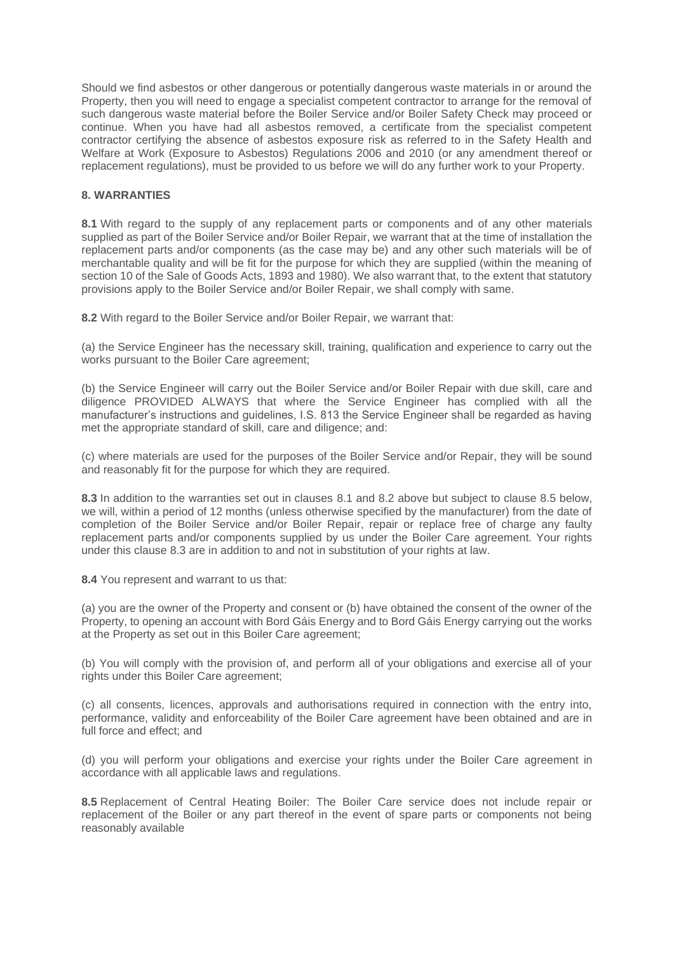Should we find asbestos or other dangerous or potentially dangerous waste materials in or around the Property, then you will need to engage a specialist competent contractor to arrange for the removal of such dangerous waste material before the Boiler Service and/or Boiler Safety Check may proceed or continue. When you have had all asbestos removed, a certificate from the specialist competent contractor certifying the absence of asbestos exposure risk as referred to in the Safety Health and Welfare at Work (Exposure to Asbestos) Regulations 2006 and 2010 (or any amendment thereof or replacement regulations), must be provided to us before we will do any further work to your Property.

## **8. WARRANTIES**

**8.1** With regard to the supply of any replacement parts or components and of any other materials supplied as part of the Boiler Service and/or Boiler Repair, we warrant that at the time of installation the replacement parts and/or components (as the case may be) and any other such materials will be of merchantable quality and will be fit for the purpose for which they are supplied (within the meaning of section 10 of the Sale of Goods Acts, 1893 and 1980). We also warrant that, to the extent that statutory provisions apply to the Boiler Service and/or Boiler Repair, we shall comply with same.

**8.2** With regard to the Boiler Service and/or Boiler Repair, we warrant that:

(a) the Service Engineer has the necessary skill, training, qualification and experience to carry out the works pursuant to the Boiler Care agreement;

(b) the Service Engineer will carry out the Boiler Service and/or Boiler Repair with due skill, care and diligence PROVIDED ALWAYS that where the Service Engineer has complied with all the manufacturer's instructions and guidelines, I.S. 813 the Service Engineer shall be regarded as having met the appropriate standard of skill, care and diligence; and:

(c) where materials are used for the purposes of the Boiler Service and/or Repair, they will be sound and reasonably fit for the purpose for which they are required.

**8.3** In addition to the warranties set out in clauses 8.1 and 8.2 above but subject to clause 8.5 below, we will, within a period of 12 months (unless otherwise specified by the manufacturer) from the date of completion of the Boiler Service and/or Boiler Repair, repair or replace free of charge any faulty replacement parts and/or components supplied by us under the Boiler Care agreement. Your rights under this clause 8.3 are in addition to and not in substitution of your rights at law.

**8.4** You represent and warrant to us that:

(a) you are the owner of the Property and consent or (b) have obtained the consent of the owner of the Property, to opening an account with Bord Gáis Energy and to Bord Gáis Energy carrying out the works at the Property as set out in this Boiler Care agreement;

(b) You will comply with the provision of, and perform all of your obligations and exercise all of your rights under this Boiler Care agreement;

(c) all consents, licences, approvals and authorisations required in connection with the entry into, performance, validity and enforceability of the Boiler Care agreement have been obtained and are in full force and effect; and

(d) you will perform your obligations and exercise your rights under the Boiler Care agreement in accordance with all applicable laws and regulations.

**8.5** Replacement of Central Heating Boiler: The Boiler Care service does not include repair or replacement of the Boiler or any part thereof in the event of spare parts or components not being reasonably available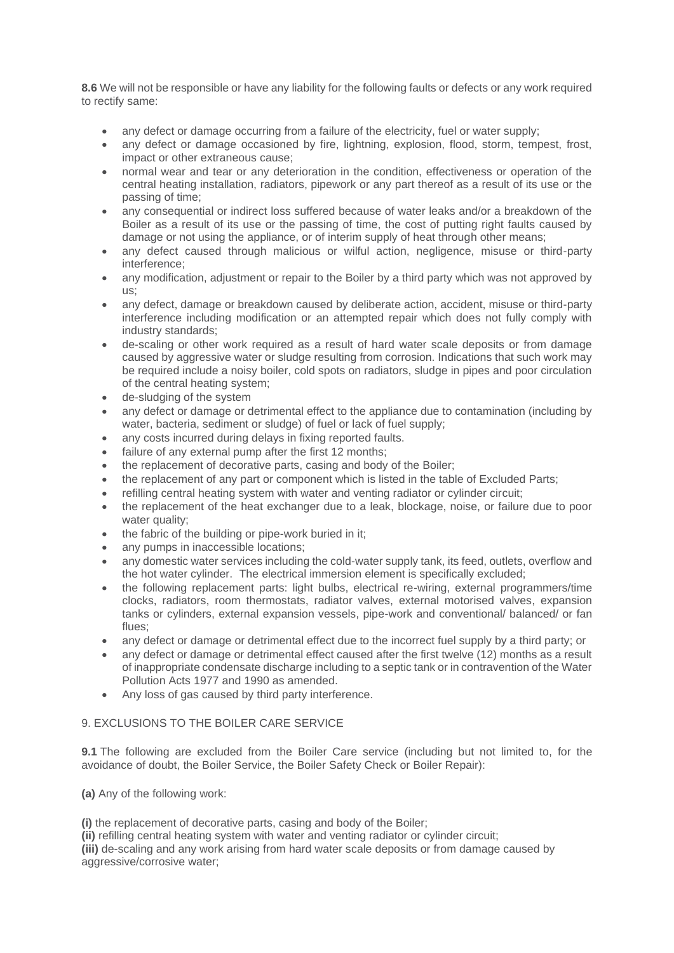**8.6** We will not be responsible or have any liability for the following faults or defects or any work required to rectify same:

- any defect or damage occurring from a failure of the electricity, fuel or water supply;
- any defect or damage occasioned by fire, lightning, explosion, flood, storm, tempest, frost, impact or other extraneous cause;
- normal wear and tear or any deterioration in the condition, effectiveness or operation of the central heating installation, radiators, pipework or any part thereof as a result of its use or the passing of time;
- any consequential or indirect loss suffered because of water leaks and/or a breakdown of the Boiler as a result of its use or the passing of time, the cost of putting right faults caused by damage or not using the appliance, or of interim supply of heat through other means;
- any defect caused through malicious or wilful action, negligence, misuse or third-party interference;
- any modification, adjustment or repair to the Boiler by a third party which was not approved by us;
- any defect, damage or breakdown caused by deliberate action, accident, misuse or third-party interference including modification or an attempted repair which does not fully comply with industry standards;
- de-scaling or other work required as a result of hard water scale deposits or from damage caused by aggressive water or sludge resulting from corrosion. Indications that such work may be required include a noisy boiler, cold spots on radiators, sludge in pipes and poor circulation of the central heating system;
- de-sludging of the system
- any defect or damage or detrimental effect to the appliance due to contamination (including by water, bacteria, sediment or sludge) of fuel or lack of fuel supply;
- any costs incurred during delays in fixing reported faults.
- failure of any external pump after the first 12 months;
- the replacement of decorative parts, casing and body of the Boiler;
- the replacement of any part or component which is listed in the table of Excluded Parts;
- refilling central heating system with water and venting radiator or cylinder circuit;
- the replacement of the heat exchanger due to a leak, blockage, noise, or failure due to poor water quality;
- the fabric of the building or pipe-work buried in it:
- any pumps in inaccessible locations;
- any domestic water services including the cold-water supply tank, its feed, outlets, overflow and the hot water cylinder. The electrical immersion element is specifically excluded;
- the following replacement parts: light bulbs, electrical re-wiring, external programmers/time clocks, radiators, room thermostats, radiator valves, external motorised valves, expansion tanks or cylinders, external expansion vessels, pipe-work and conventional/ balanced/ or fan flues;
- any defect or damage or detrimental effect due to the incorrect fuel supply by a third party; or
- any defect or damage or detrimental effect caused after the first twelve (12) months as a result of inappropriate condensate discharge including to a septic tank or in contravention of the Water Pollution Acts 1977 and 1990 as amended.
- Any loss of gas caused by third party interference.

# 9. EXCLUSIONS TO THE BOILER CARE SERVICE

**9.1** The following are excluded from the Boiler Care service (including but not limited to, for the avoidance of doubt, the Boiler Service, the Boiler Safety Check or Boiler Repair):

**(a)** Any of the following work:

**(i)** the replacement of decorative parts, casing and body of the Boiler;

**(ii)** refilling central heating system with water and venting radiator or cylinder circuit;

**(iii)** de-scaling and any work arising from hard water scale deposits or from damage caused by aggressive/corrosive water;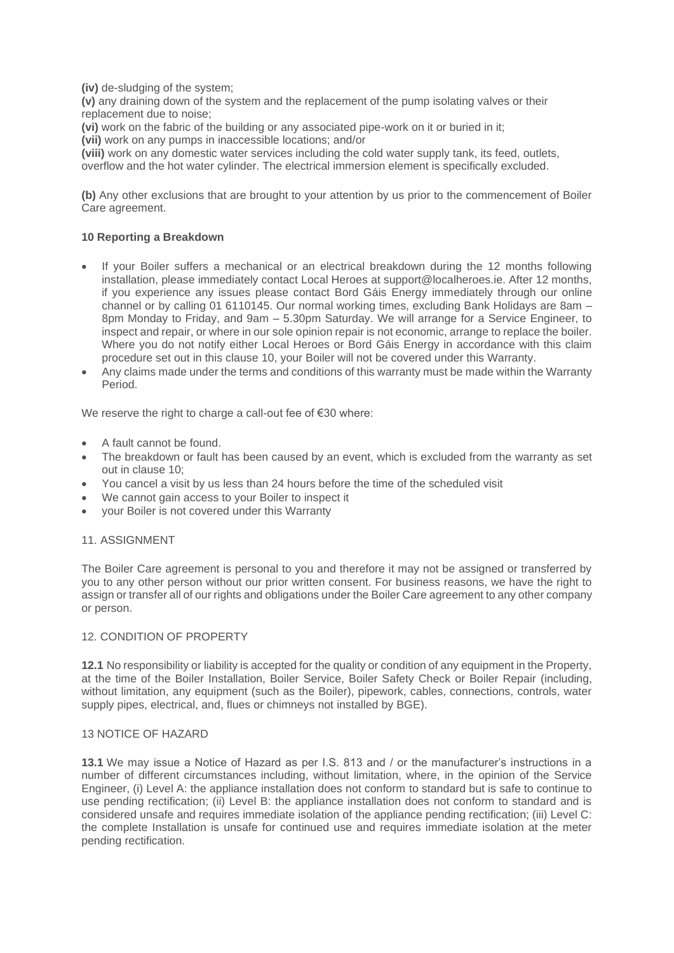**(iv)** de-sludging of the system;

**(v)** any draining down of the system and the replacement of the pump isolating valves or their replacement due to noise;

**(vi)** work on the fabric of the building or any associated pipe-work on it or buried in it;

**(vii)** work on any pumps in inaccessible locations; and/or

**(viii)** work on any domestic water services including the cold water supply tank, its feed, outlets,

overflow and the hot water cylinder. The electrical immersion element is specifically excluded.

**(b)** Any other exclusions that are brought to your attention by us prior to the commencement of Boiler Care agreement.

# **10 Reporting a Breakdown**

- If your Boiler suffers a mechanical or an electrical breakdown during the 12 months following installation, please immediately contact Local Heroes at support@localheroes.ie. After 12 months, if you experience any issues please contact Bord Gáis Energy immediately through our online channel or by calling 01 6110145. Our normal working times, excluding Bank Holidays are 8am – 8pm Monday to Friday, and 9am – 5.30pm Saturday. We will arrange for a Service Engineer, to inspect and repair, or where in our sole opinion repair is not economic, arrange to replace the boiler. Where you do not notify either Local Heroes or Bord Gáis Energy in accordance with this claim procedure set out in this clause 10, your Boiler will not be covered under this Warranty.
- Any claims made under the terms and conditions of this warranty must be made within the Warranty Period.

We reserve the right to charge a call-out fee of €30 where:

- A fault cannot be found.
- The breakdown or fault has been caused by an event, which is excluded from the warranty as set out in clause 10;
- You cancel a visit by us less than 24 hours before the time of the scheduled visit
- We cannot gain access to your Boiler to inspect it
- your Boiler is not covered under this Warranty

# 11. ASSIGNMENT

The Boiler Care agreement is personal to you and therefore it may not be assigned or transferred by you to any other person without our prior written consent. For business reasons, we have the right to assign or transfer all of our rights and obligations under the Boiler Care agreement to any other company or person.

### 12. CONDITION OF PROPERTY

**12.1** No responsibility or liability is accepted for the quality or condition of any equipment in the Property, at the time of the Boiler Installation, Boiler Service, Boiler Safety Check or Boiler Repair (including, without limitation, any equipment (such as the Boiler), pipework, cables, connections, controls, water supply pipes, electrical, and, flues or chimneys not installed by BGE).

### 13 NOTICE OF HAZARD

**13.1** We may issue a Notice of Hazard as per I.S. 813 and / or the manufacturer's instructions in a number of different circumstances including, without limitation, where, in the opinion of the Service Engineer, (i) Level A: the appliance installation does not conform to standard but is safe to continue to use pending rectification; (ii) Level B: the appliance installation does not conform to standard and is considered unsafe and requires immediate isolation of the appliance pending rectification; (iii) Level C: the complete Installation is unsafe for continued use and requires immediate isolation at the meter pending rectification.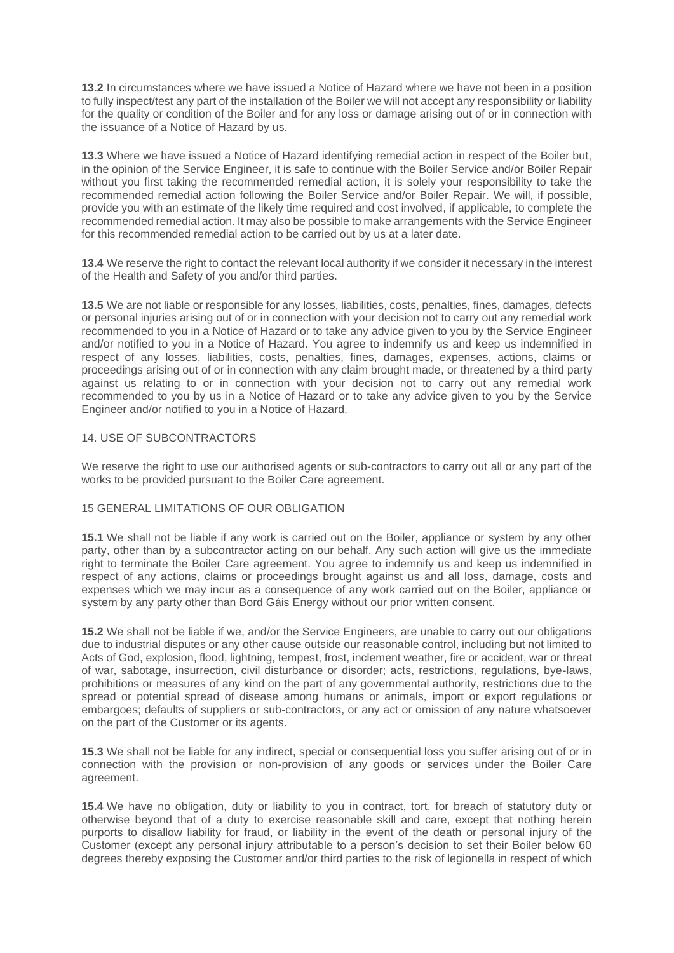**13.2** In circumstances where we have issued a Notice of Hazard where we have not been in a position to fully inspect/test any part of the installation of the Boiler we will not accept any responsibility or liability for the quality or condition of the Boiler and for any loss or damage arising out of or in connection with the issuance of a Notice of Hazard by us.

**13.3** Where we have issued a Notice of Hazard identifying remedial action in respect of the Boiler but, in the opinion of the Service Engineer, it is safe to continue with the Boiler Service and/or Boiler Repair without you first taking the recommended remedial action, it is solely your responsibility to take the recommended remedial action following the Boiler Service and/or Boiler Repair. We will, if possible, provide you with an estimate of the likely time required and cost involved, if applicable, to complete the recommended remedial action. It may also be possible to make arrangements with the Service Engineer for this recommended remedial action to be carried out by us at a later date.

**13.4** We reserve the right to contact the relevant local authority if we consider it necessary in the interest of the Health and Safety of you and/or third parties.

**13.5** We are not liable or responsible for any losses, liabilities, costs, penalties, fines, damages, defects or personal injuries arising out of or in connection with your decision not to carry out any remedial work recommended to you in a Notice of Hazard or to take any advice given to you by the Service Engineer and/or notified to you in a Notice of Hazard. You agree to indemnify us and keep us indemnified in respect of any losses, liabilities, costs, penalties, fines, damages, expenses, actions, claims or proceedings arising out of or in connection with any claim brought made, or threatened by a third party against us relating to or in connection with your decision not to carry out any remedial work recommended to you by us in a Notice of Hazard or to take any advice given to you by the Service Engineer and/or notified to you in a Notice of Hazard.

### 14. USE OF SUBCONTRACTORS

We reserve the right to use our authorised agents or sub-contractors to carry out all or any part of the works to be provided pursuant to the Boiler Care agreement.

### 15 GENERAL LIMITATIONS OF OUR OBLIGATION

**15.1** We shall not be liable if any work is carried out on the Boiler, appliance or system by any other party, other than by a subcontractor acting on our behalf. Any such action will give us the immediate right to terminate the Boiler Care agreement. You agree to indemnify us and keep us indemnified in respect of any actions, claims or proceedings brought against us and all loss, damage, costs and expenses which we may incur as a consequence of any work carried out on the Boiler, appliance or system by any party other than Bord Gáis Energy without our prior written consent.

**15.2** We shall not be liable if we, and/or the Service Engineers, are unable to carry out our obligations due to industrial disputes or any other cause outside our reasonable control, including but not limited to Acts of God, explosion, flood, lightning, tempest, frost, inclement weather, fire or accident, war or threat of war, sabotage, insurrection, civil disturbance or disorder; acts, restrictions, regulations, bye-laws, prohibitions or measures of any kind on the part of any governmental authority, restrictions due to the spread or potential spread of disease among humans or animals, import or export regulations or embargoes; defaults of suppliers or sub-contractors, or any act or omission of any nature whatsoever on the part of the Customer or its agents.

**15.3** We shall not be liable for any indirect, special or consequential loss you suffer arising out of or in connection with the provision or non-provision of any goods or services under the Boiler Care agreement.

**15.4** We have no obligation, duty or liability to you in contract, tort, for breach of statutory duty or otherwise beyond that of a duty to exercise reasonable skill and care, except that nothing herein purports to disallow liability for fraud, or liability in the event of the death or personal injury of the Customer (except any personal injury attributable to a person's decision to set their Boiler below 60 degrees thereby exposing the Customer and/or third parties to the risk of legionella in respect of which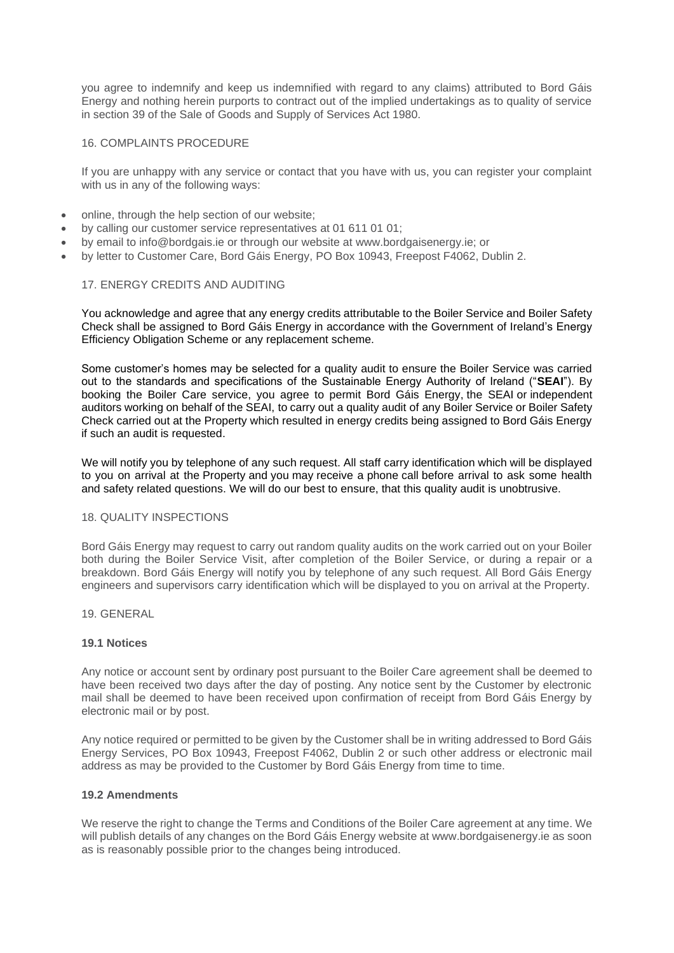you agree to indemnify and keep us indemnified with regard to any claims) attributed to Bord Gáis Energy and nothing herein purports to contract out of the implied undertakings as to quality of service in section 39 of the Sale of Goods and Supply of Services Act 1980.

## 16. COMPLAINTS PROCEDURE

If you are unhappy with any service or contact that you have with us, you can register your complaint with us in any of the following ways:

- online, through the help section of our website;
- by calling our customer service representatives at 01 611 01 01;
- by email to info@bordgais.ie or through our website at www.bordgaisenergy.ie; or
- by letter to Customer Care, Bord Gáis Energy, PO Box 10943, Freepost F4062, Dublin 2.

### 17. ENERGY CREDITS AND AUDITING

You acknowledge and agree that any energy credits attributable to the Boiler Service and Boiler Safety Check shall be assigned to Bord Gáis Energy in accordance with the Government of Ireland's Energy Efficiency Obligation Scheme or any replacement scheme.

Some customer's homes may be selected for a quality audit to ensure the Boiler Service was carried out to the standards and specifications of the Sustainable Energy Authority of Ireland ("**SEAI**"). By booking the Boiler Care service, you agree to permit Bord Gáis Energy, the SEAI or independent auditors working on behalf of the SEAI, to carry out a quality audit of any Boiler Service or Boiler Safety Check carried out at the Property which resulted in energy credits being assigned to Bord Gáis Energy if such an audit is requested.

We will notify you by telephone of any such request. All staff carry identification which will be displayed to you on arrival at the Property and you may receive a phone call before arrival to ask some health and safety related questions. We will do our best to ensure, that this quality audit is unobtrusive.

### 18. QUALITY INSPECTIONS

Bord Gáis Energy may request to carry out random quality audits on the work carried out on your Boiler both during the Boiler Service Visit, after completion of the Boiler Service, or during a repair or a breakdown. Bord Gáis Energy will notify you by telephone of any such request. All Bord Gáis Energy engineers and supervisors carry identification which will be displayed to you on arrival at the Property.

## 19. GENERAL

#### **19.1 Notices**

Any notice or account sent by ordinary post pursuant to the Boiler Care agreement shall be deemed to have been received two days after the day of posting. Any notice sent by the Customer by electronic mail shall be deemed to have been received upon confirmation of receipt from Bord Gáis Energy by electronic mail or by post.

Any notice required or permitted to be given by the Customer shall be in writing addressed to Bord Gáis Energy Services, PO Box 10943, Freepost F4062, Dublin 2 or such other address or electronic mail address as may be provided to the Customer by Bord Gáis Energy from time to time.

#### **19.2 Amendments**

We reserve the right to change the Terms and Conditions of the Boiler Care agreement at any time. We will publish details of any changes on the Bord Gáis Energy website at www.bordgaisenergy.ie as soon as is reasonably possible prior to the changes being introduced.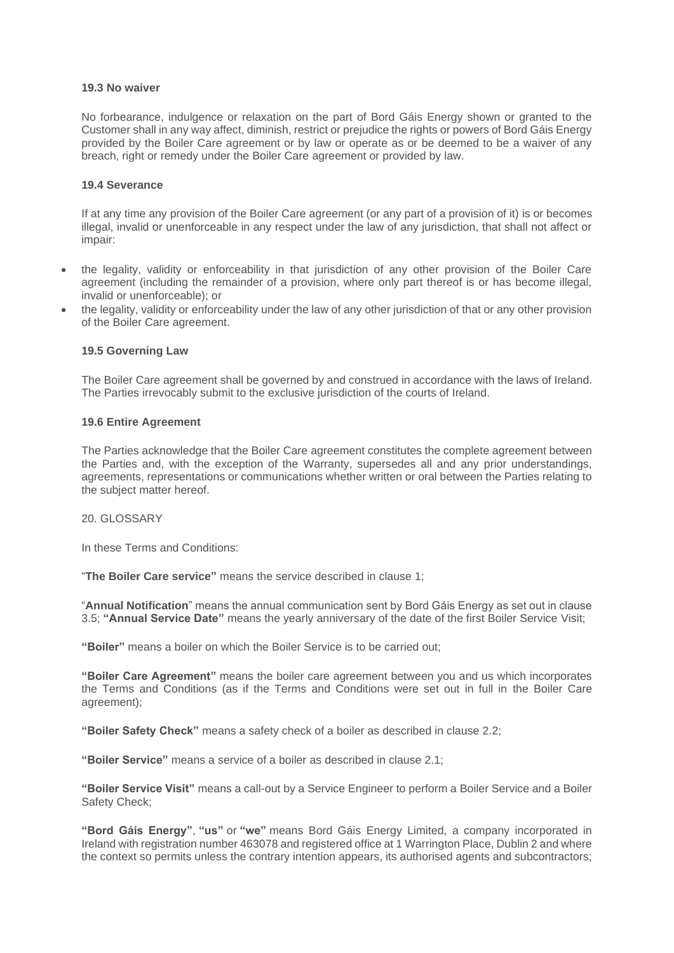#### **19.3 No waiver**

No forbearance, indulgence or relaxation on the part of Bord Gáis Energy shown or granted to the Customer shall in any way affect, diminish, restrict or prejudice the rights or powers of Bord Gáis Energy provided by the Boiler Care agreement or by law or operate as or be deemed to be a waiver of any breach, right or remedy under the Boiler Care agreement or provided by law.

#### **19.4 Severance**

If at any time any provision of the Boiler Care agreement (or any part of a provision of it) is or becomes illegal, invalid or unenforceable in any respect under the law of any jurisdiction, that shall not affect or impair:

- the legality, validity or enforceability in that jurisdiction of any other provision of the Boiler Care agreement (including the remainder of a provision, where only part thereof is or has become illegal, invalid or unenforceable); or
- the legality, validity or enforceability under the law of any other jurisdiction of that or any other provision of the Boiler Care agreement.

### **19.5 Governing Law**

The Boiler Care agreement shall be governed by and construed in accordance with the laws of Ireland. The Parties irrevocably submit to the exclusive jurisdiction of the courts of Ireland.

#### **19.6 Entire Agreement**

The Parties acknowledge that the Boiler Care agreement constitutes the complete agreement between the Parties and, with the exception of the Warranty, supersedes all and any prior understandings, agreements, representations or communications whether written or oral between the Parties relating to the subject matter hereof.

20. GLOSSARY

In these Terms and Conditions:

"**The Boiler Care service"** means the service described in clause 1;

"**Annual Notification**" means the annual communication sent by Bord Gáis Energy as set out in clause 3.5; **"Annual Service Date"** means the yearly anniversary of the date of the first Boiler Service Visit;

**"Boiler"** means a boiler on which the Boiler Service is to be carried out;

**"Boiler Care Agreement"** means the boiler care agreement between you and us which incorporates the Terms and Conditions (as if the Terms and Conditions were set out in full in the Boiler Care agreement);

**"Boiler Safety Check"** means a safety check of a boiler as described in clause 2.2;

**"Boiler Service"** means a service of a boiler as described in clause 2.1;

**"Boiler Service Visit"** means a call-out by a Service Engineer to perform a Boiler Service and a Boiler Safety Check;

**"Bord Gáis Energy"**, **"us"** or **"we"** means Bord Gáis Energy Limited, a company incorporated in Ireland with registration number 463078 and registered office at 1 Warrington Place, Dublin 2 and where the context so permits unless the contrary intention appears, its authorised agents and subcontractors;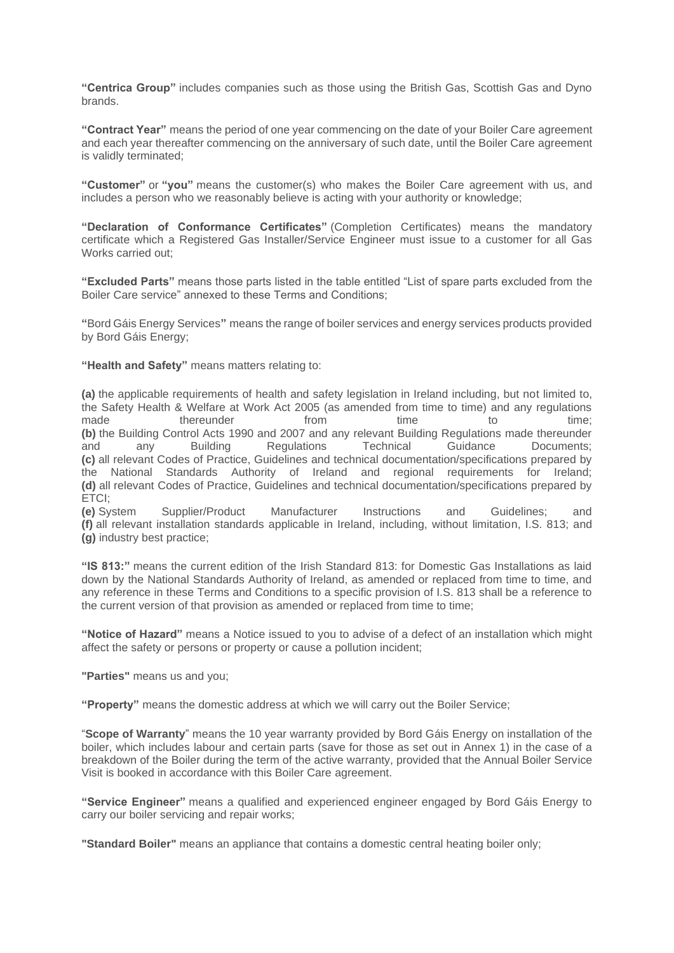**"Centrica Group"** includes companies such as those using the British Gas, Scottish Gas and Dyno brands.

**"Contract Year"** means the period of one year commencing on the date of your Boiler Care agreement and each year thereafter commencing on the anniversary of such date, until the Boiler Care agreement is validly terminated;

**"Customer"** or **"you"** means the customer(s) who makes the Boiler Care agreement with us, and includes a person who we reasonably believe is acting with your authority or knowledge;

**"Declaration of Conformance Certificates"** (Completion Certificates) means the mandatory certificate which a Registered Gas Installer/Service Engineer must issue to a customer for all Gas Works carried out;

**"Excluded Parts"** means those parts listed in the table entitled "List of spare parts excluded from the Boiler Care service" annexed to these Terms and Conditions;

**"**Bord Gáis Energy Services**"** means the range of boiler services and energy services products provided by Bord Gáis Energy;

**"Health and Safety"** means matters relating to:

**(a)** the applicable requirements of health and safety legislation in Ireland including, but not limited to, the Safety Health & Welfare at Work Act 2005 (as amended from time to time) and any regulations made thereunder from time to time; **(b)** the Building Control Acts 1990 and 2007 and any relevant Building Regulations made thereunder and any Building Regulations Technical Guidance Documents; **(c)** all relevant Codes of Practice, Guidelines and technical documentation/specifications prepared by the National Standards Authority of Ireland and regional requirements for Ireland; **(d)** all relevant Codes of Practice, Guidelines and technical documentation/specifications prepared by ETCI;

**(e)** System Supplier/Product Manufacturer Instructions and Guidelines; and **(f)** all relevant installation standards applicable in Ireland, including, without limitation, I.S. 813; and **(g)** industry best practice;

**"IS 813:"** means the current edition of the Irish Standard 813: for Domestic Gas Installations as laid down by the National Standards Authority of Ireland, as amended or replaced from time to time, and any reference in these Terms and Conditions to a specific provision of I.S. 813 shall be a reference to the current version of that provision as amended or replaced from time to time;

**"Notice of Hazard"** means a Notice issued to you to advise of a defect of an installation which might affect the safety or persons or property or cause a pollution incident;

**"Parties"** means us and you;

**"Property"** means the domestic address at which we will carry out the Boiler Service;

"**Scope of Warranty**" means the 10 year warranty provided by Bord Gáis Energy on installation of the boiler, which includes labour and certain parts (save for those as set out in Annex 1) in the case of a breakdown of the Boiler during the term of the active warranty, provided that the Annual Boiler Service Visit is booked in accordance with this Boiler Care agreement.

**"Service Engineer"** means a qualified and experienced engineer engaged by Bord Gáis Energy to carry our boiler servicing and repair works;

**"Standard Boiler"** means an appliance that contains a domestic central heating boiler only;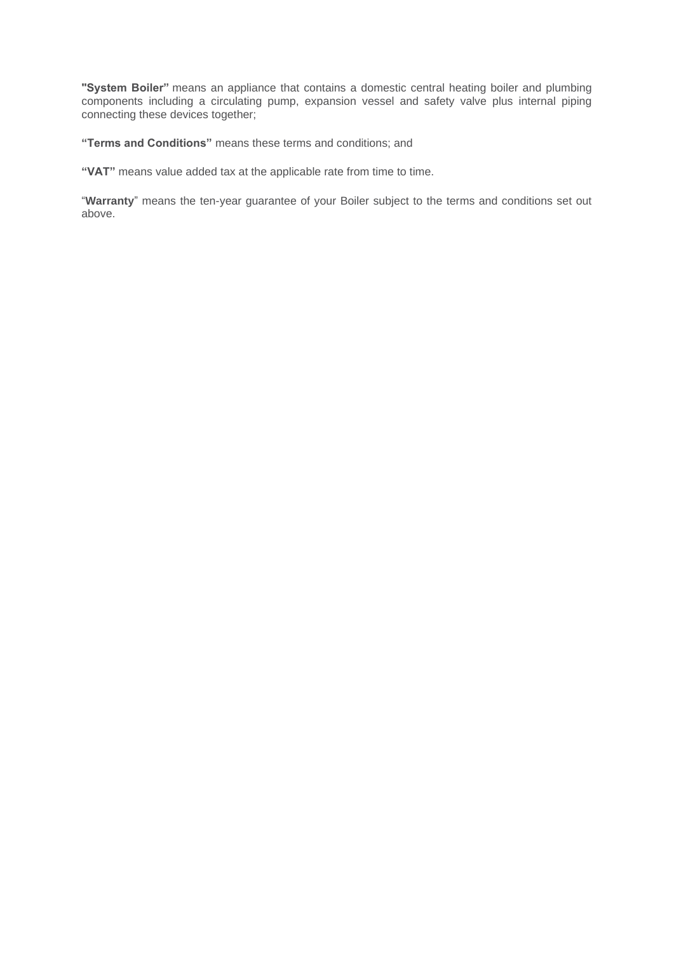**"System Boiler"** means an appliance that contains a domestic central heating boiler and plumbing components including a circulating pump, expansion vessel and safety valve plus internal piping connecting these devices together;

**"Terms and Conditions"** means these terms and conditions; and

**"VAT"** means value added tax at the applicable rate from time to time.

"**Warranty**" means the ten-year guarantee of your Boiler subject to the terms and conditions set out above.